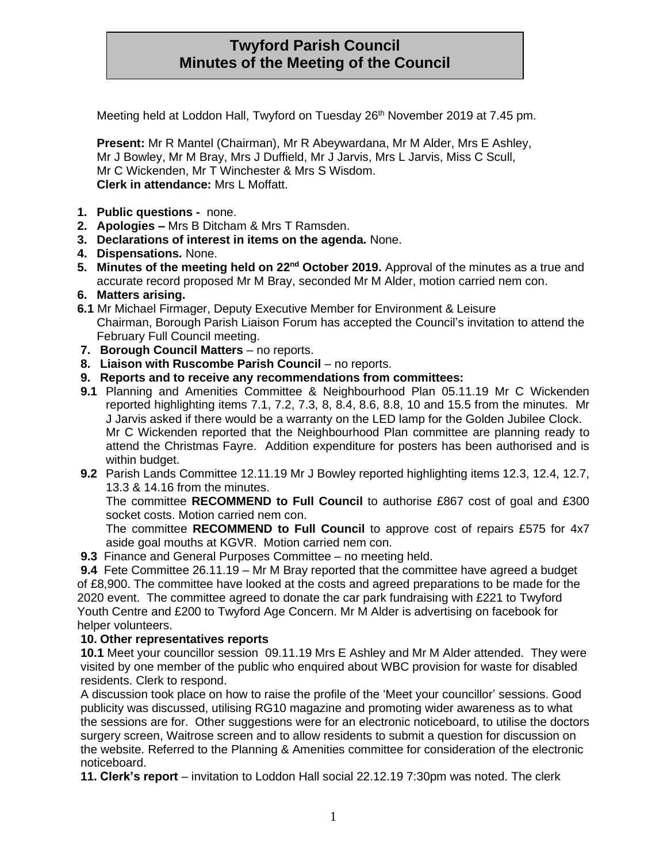# **Twyford Parish Council Minutes of the Meeting of the Council**

Meeting held at Loddon Hall, Twyford on Tuesday 26<sup>th</sup> November 2019 at 7.45 pm.

**Present:** Mr R Mantel (Chairman), Mr R Abeywardana, Mr M Alder, Mrs E Ashley, Mr J Bowley, Mr M Bray, Mrs J Duffield, Mr J Jarvis, Mrs L Jarvis, Miss C Scull, Mr C Wickenden, Mr T Winchester & Mrs S Wisdom. **Clerk in attendance:** Mrs L Moffatt.

- **1. Public questions -** none.
- **2. Apologies –** Mrs B Ditcham & Mrs T Ramsden.
- **3. Declarations of interest in items on the agenda.** None.
- **4. Dispensations.** None.
- **5. Minutes of the meeting held on 22nd October 2019.** Approval of the minutes as a true and accurate record proposed Mr M Bray, seconded Mr M Alder, motion carried nem con.
- **6. Matters arising.**
- **6.1** Mr Michael Firmager, Deputy Executive Member for Environment & Leisure Chairman, Borough Parish Liaison Forum has accepted the Council's invitation to attend the February Full Council meeting.
- **7. Borough Council Matters** no reports.
- **8. Liaison with Ruscombe Parish Council** no reports.
- **9. Reports and to receive any recommendations from committees:**
- **9.1** Planning and Amenities Committee & Neighbourhood Plan 05.11.19 Mr C Wickenden reported highlighting items 7.1, 7.2, 7.3, 8, 8.4, 8.6, 8.8, 10 and 15.5 from the minutes. Mr J Jarvis asked if there would be a warranty on the LED lamp for the Golden Jubilee Clock. Mr C Wickenden reported that the Neighbourhood Plan committee are planning ready to attend the Christmas Fayre. Addition expenditure for posters has been authorised and is within budget.
- **9.2** Parish Lands Committee 12.11.19 Mr J Bowley reported highlighting items 12.3, 12.4, 12.7, 13.3 & 14.16 from the minutes.

The committee **RECOMMEND to Full Council** to authorise £867 cost of goal and £300 socket costs. Motion carried nem con.

The committee **RECOMMEND to Full Council** to approve cost of repairs £575 for 4x7 aside goal mouths at KGVR. Motion carried nem con.

**9.3** Finance and General Purposes Committee – no meeting held.

**9.4** Fete Committee 26.11.19 – Mr M Bray reported that the committee have agreed a budget of £8,900. The committee have looked at the costs and agreed preparations to be made for the 2020 event. The committee agreed to donate the car park fundraising with £221 to Twyford Youth Centre and £200 to Twyford Age Concern. Mr M Alder is advertising on facebook for helper volunteers.

#### **10. Other representatives reports**

**10.1** Meet your councillor session 09.11.19 Mrs E Ashley and Mr M Alder attended. They were visited by one member of the public who enquired about WBC provision for waste for disabled residents. Clerk to respond.

A discussion took place on how to raise the profile of the 'Meet your councillor' sessions. Good publicity was discussed, utilising RG10 magazine and promoting wider awareness as to what the sessions are for. Other suggestions were for an electronic noticeboard, to utilise the doctors surgery screen, Waitrose screen and to allow residents to submit a question for discussion on the website. Referred to the Planning & Amenities committee for consideration of the electronic noticeboard.

**11. Clerk's report** – invitation to Loddon Hall social 22.12.19 7:30pm was noted. The clerk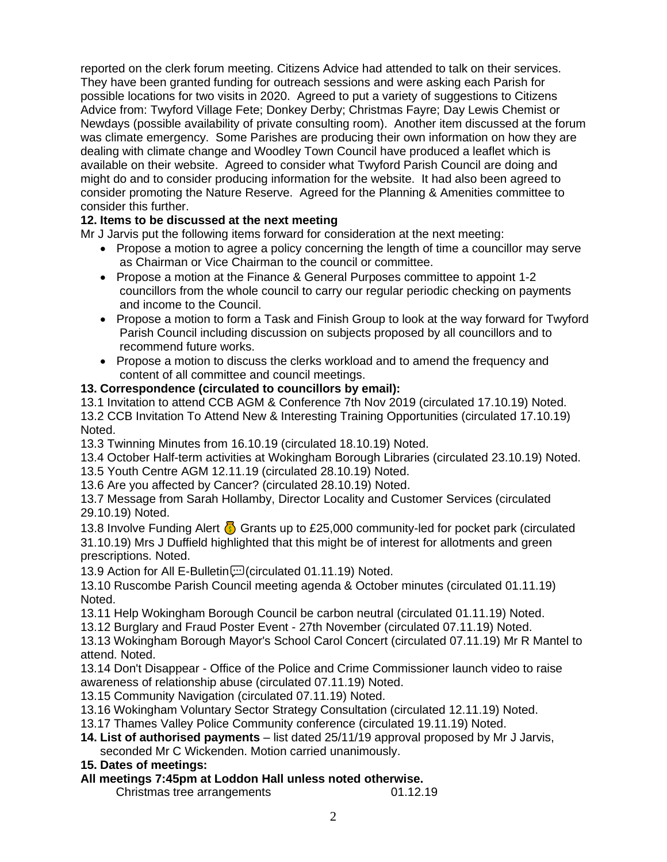reported on the clerk forum meeting. Citizens Advice had attended to talk on their services. They have been granted funding for outreach sessions and were asking each Parish for possible locations for two visits in 2020. Agreed to put a variety of suggestions to Citizens Advice from: Twyford Village Fete; Donkey Derby; Christmas Fayre; Day Lewis Chemist or Newdays (possible availability of private consulting room). Another item discussed at the forum was climate emergency. Some Parishes are producing their own information on how they are dealing with climate change and Woodley Town Council have produced a leaflet which is available on their website. Agreed to consider what Twyford Parish Council are doing and might do and to consider producing information for the website. It had also been agreed to consider promoting the Nature Reserve. Agreed for the Planning & Amenities committee to consider this further.

## **12. Items to be discussed at the next meeting**

Mr J Jarvis put the following items forward for consideration at the next meeting:

- Propose a motion to agree a policy concerning the length of time a councillor may serve as Chairman or Vice Chairman to the council or committee.
- Propose a motion at the Finance & General Purposes committee to appoint 1-2 councillors from the whole council to carry our regular periodic checking on payments and income to the Council.
- Propose a motion to form a Task and Finish Group to look at the way forward for Twyford Parish Council including discussion on subjects proposed by all councillors and to recommend future works.
- Propose a motion to discuss the clerks workload and to amend the frequency and content of all committee and council meetings.

#### **13. Correspondence (circulated to councillors by email):**

13.1 Invitation to attend CCB AGM & Conference 7th Nov 2019 (circulated 17.10.19) Noted. 13.2 CCB Invitation To Attend New & Interesting Training Opportunities (circulated 17.10.19) Noted.

13.3 Twinning Minutes from 16.10.19 (circulated 18.10.19) Noted.

13.4 October Half-term activities at Wokingham Borough Libraries (circulated 23.10.19) Noted.

13.5 Youth Centre AGM 12.11.19 (circulated 28.10.19) Noted. 13.6 Are you affected by Cancer? (circulated 28.10.19) Noted.

13.7 Message from Sarah Hollamby, Director Locality and Customer Services (circulated 29.10.19) Noted.

13.8 Involve Funding Alert  $\binom{1}{2}$  Grants up to £25,000 community-led for pocket park (circulated 31.10.19) Mrs J Duffield highlighted that this might be of interest for allotments and green prescriptions. Noted.

13.9 Action for All E-Bulletin [10] (circulated 01.11.19) Noted.

13.10 Ruscombe Parish Council meeting agenda & October minutes (circulated 01.11.19) Noted.

- 13.11 Help Wokingham Borough Council be carbon neutral (circulated 01.11.19) Noted.
- 13.12 Burglary and Fraud Poster Event 27th November (circulated 07.11.19) Noted.

13.13 Wokingham Borough Mayor's School Carol Concert (circulated 07.11.19) Mr R Mantel to attend. Noted.

13.14 Don't Disappear - Office of the Police and Crime Commissioner launch video to raise awareness of relationship abuse (circulated 07.11.19) Noted.

13.15 Community Navigation (circulated 07.11.19) Noted.

13.16 Wokingham Voluntary Sector Strategy Consultation (circulated 12.11.19) Noted.

13.17 Thames Valley Police Community conference (circulated 19.11.19) Noted.

**14. List of authorised payments** – list dated 25/11/19 approval proposed by Mr J Jarvis, seconded Mr C Wickenden. Motion carried unanimously.

### **15. Dates of meetings:**

**All meetings 7:45pm at Loddon Hall unless noted otherwise.**

Christmas tree arrangements 01.12.19